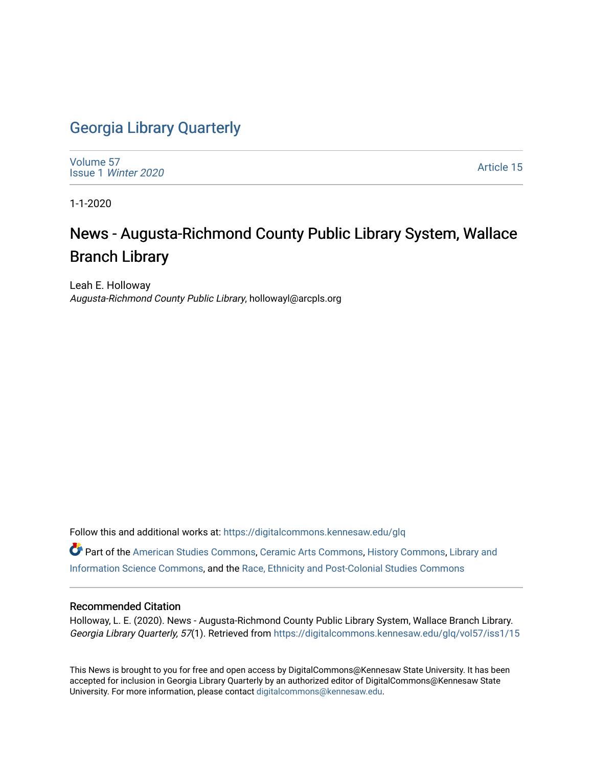## [Georgia Library Quarterly](https://digitalcommons.kennesaw.edu/glq)

[Volume 57](https://digitalcommons.kennesaw.edu/glq/vol57) Issue 1 [Winter 2020](https://digitalcommons.kennesaw.edu/glq/vol57/iss1) 

[Article 15](https://digitalcommons.kennesaw.edu/glq/vol57/iss1/15) 

1-1-2020

# News - Augusta-Richmond County Public Library System, Wallace Branch Library

Leah E. Holloway Augusta-Richmond County Public Library, hollowayl@arcpls.org

Follow this and additional works at: [https://digitalcommons.kennesaw.edu/glq](https://digitalcommons.kennesaw.edu/glq?utm_source=digitalcommons.kennesaw.edu%2Fglq%2Fvol57%2Fiss1%2F15&utm_medium=PDF&utm_campaign=PDFCoverPages) 

Part of the [American Studies Commons](http://network.bepress.com/hgg/discipline/439?utm_source=digitalcommons.kennesaw.edu%2Fglq%2Fvol57%2Fiss1%2F15&utm_medium=PDF&utm_campaign=PDFCoverPages), [Ceramic Arts Commons](http://network.bepress.com/hgg/discipline/1336?utm_source=digitalcommons.kennesaw.edu%2Fglq%2Fvol57%2Fiss1%2F15&utm_medium=PDF&utm_campaign=PDFCoverPages), [History Commons,](http://network.bepress.com/hgg/discipline/489?utm_source=digitalcommons.kennesaw.edu%2Fglq%2Fvol57%2Fiss1%2F15&utm_medium=PDF&utm_campaign=PDFCoverPages) [Library and](http://network.bepress.com/hgg/discipline/1018?utm_source=digitalcommons.kennesaw.edu%2Fglq%2Fvol57%2Fiss1%2F15&utm_medium=PDF&utm_campaign=PDFCoverPages)  [Information Science Commons,](http://network.bepress.com/hgg/discipline/1018?utm_source=digitalcommons.kennesaw.edu%2Fglq%2Fvol57%2Fiss1%2F15&utm_medium=PDF&utm_campaign=PDFCoverPages) and the [Race, Ethnicity and Post-Colonial Studies Commons](http://network.bepress.com/hgg/discipline/566?utm_source=digitalcommons.kennesaw.edu%2Fglq%2Fvol57%2Fiss1%2F15&utm_medium=PDF&utm_campaign=PDFCoverPages) 

#### Recommended Citation

Holloway, L. E. (2020). News - Augusta-Richmond County Public Library System, Wallace Branch Library. Georgia Library Quarterly, 57(1). Retrieved from https://digitalcommons.kennesaw.edu/glq/vol57/iss1/15

This News is brought to you for free and open access by DigitalCommons@Kennesaw State University. It has been accepted for inclusion in Georgia Library Quarterly by an authorized editor of DigitalCommons@Kennesaw State University. For more information, please contact [digitalcommons@kennesaw.edu.](mailto:digitalcommons@kennesaw.edu)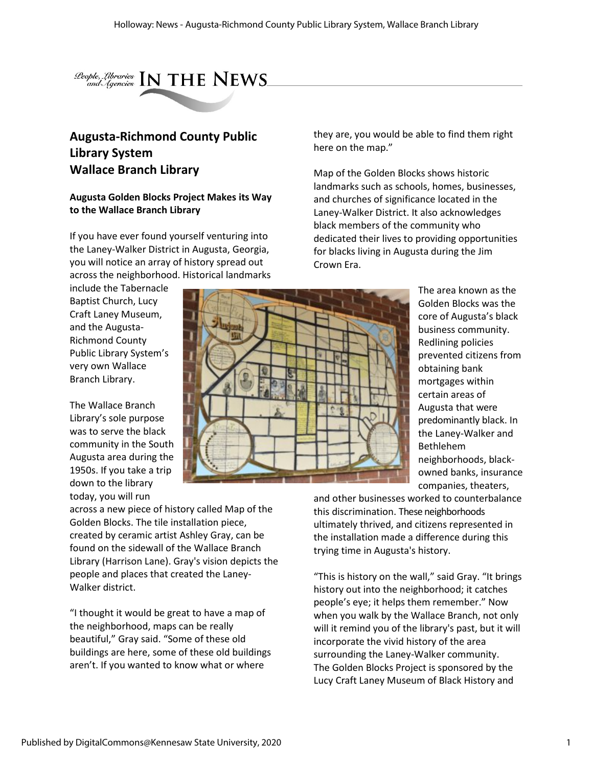

### **Augusta-Richmond County Public Library System Wallace Branch Library**

#### **Augusta Golden Blocks Project Makes its Way to the Wallace Branch Library**

If you have ever found yourself venturing into the Laney-Walker District in Augusta, Georgia, you will notice an array of history spread out across the neighborhood. Historical landmarks

include the Tabernacle Baptist Church, Lucy Craft Laney Museum, and the Augusta-Richmond County Public Library System's very own Wallace Branch Library.

The Wallace Branch Library's sole purpose was to serve the black community in the South Augusta area during the 1950s. If you take a trip down to the library today, you will run

across a new piece of history called Map of the Golden Blocks. The tile installation piece, created by ceramic artist Ashley Gray, can be found on the sidewall of the Wallace Branch Library (Harrison Lane). Gray's vision depicts the people and places that created the Laney-Walker district.

"I thought it would be great to have a map of the neighborhood, maps can be really beautiful," Gray said. "Some of these old buildings are here, some of these old buildings aren't. If you wanted to know what or where

they are, you would be able to find them right here on the map."

Map of the Golden Blocks shows historic landmarks such as schools, homes, businesses, and churches of significance located in the Laney-Walker District. It also acknowledges black members of the community who dedicated their lives to providing opportunities for blacks living in Augusta during the Jim Crown Era.



The area known as the Golden Blocks was the core of Augusta's black business community. Redlining policies prevented citizens from obtaining bank mortgages within certain areas of Augusta that were predominantly black. In the Laney-Walker and Bethlehem neighborhoods, blackowned banks, insurance companies, theaters,

and other businesses worked to counterbalance this discrimination. These neighborhoods ultimately thrived, and citizens represented in the installation made a difference during this trying time in Augusta's history.

"This is history on the wall," said Gray. "It brings history out into the neighborhood; it catches people's eye; it helps them remember." Now when you walk by the Wallace Branch, not only will it remind you of the library's past, but it will incorporate the vivid history of the area surrounding the Laney-Walker community. The Golden Blocks Project is sponsored by the Lucy Craft Laney Museum of Black History and